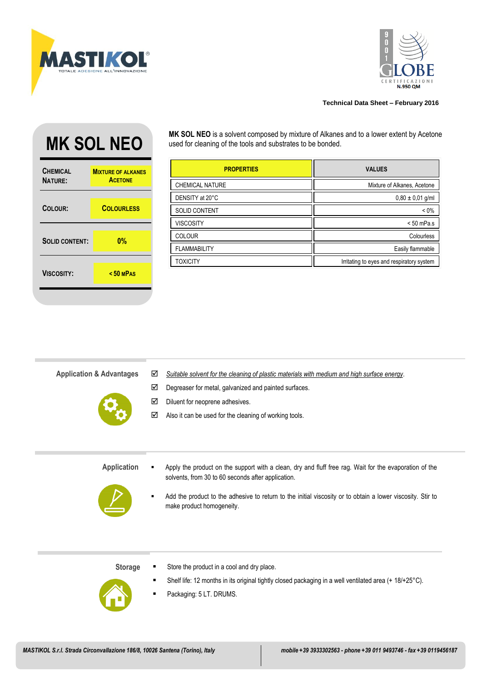



## **Technical Data Sheet – February 2016**

## **CHEMICAL NATURE: MIXTURE OF ALKANES ACETONE COLOUR: COLOURLESS SOLID CONTENT: 0% VISCOSITY: < 50 <sup>M</sup>PAS**

MK SOL NEO **MK SOLL NEO** is a solvent composed by mixture of Alkanes and to a lower extent by Acetone used for cleaning of the tools and substrates to be bonded. used for cleaning of the tools and substrates to be bonded.

| <b>PROPERTIES</b>      | <b>VALUES</b>                             |
|------------------------|-------------------------------------------|
| <b>CHEMICAL NATURE</b> | Mixture of Alkanes, Acetone               |
| DENSITY at 20°C        | $0,80 \pm 0,01$ g/ml                      |
| <b>SOLID CONTENT</b>   | $< 0\%$                                   |
| <b>VISCOSITY</b>       | $< 50$ mPa.s                              |
| <b>COLOUR</b>          | Colourless                                |
| <b>FLAMMABILITY</b>    | Easily flammable                          |
| TOXICITY               | Irritating to eyes and respiratory system |

| <b>Application &amp; Advantages</b> | ☑<br>☑<br>☑<br>☑ | Suitable solvent for the cleaning of plastic materials with medium and high surface energy.<br>Degreaser for metal, galvanized and painted surfaces.<br>Diluent for neoprene adhesives.<br>Also it can be used for the cleaning of working tools.                                                       |
|-------------------------------------|------------------|---------------------------------------------------------------------------------------------------------------------------------------------------------------------------------------------------------------------------------------------------------------------------------------------------------|
| <b>Application</b>                  |                  | Apply the product on the support with a clean, dry and fluff free rag. Wait for the evaporation of the<br>solvents, from 30 to 60 seconds after application.<br>Add the product to the adhesive to return to the initial viscosity or to obtain a lower viscosity. Stir to<br>make product homogeneity. |

- **Storage**
- Shelf life: 12 months in its original tightly closed packaging in a well ventilated area (+ 18/+25°C).

■ Store the product in a cool and dry place.

■ Packaging: 5 LT. DRUMS.